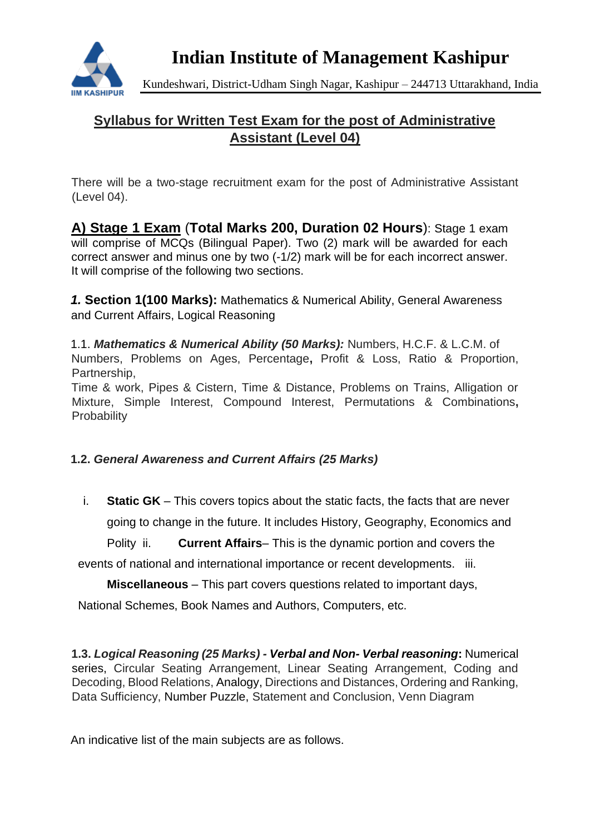

**Indian Institute of Management Kashipur**

Kundeshwari, District-Udham Singh Nagar, Kashipur – 244713 Uttarakhand, India

# **Syllabus for Written Test Exam for the post of Administrative Assistant (Level 04)**

There will be a two-stage recruitment exam for the post of Administrative Assistant (Level 04).

**A) Stage 1 Exam** (**Total Marks 200, Duration 02 Hours**): Stage 1 exam will comprise of MCQs (Bilingual Paper). Two (2) mark will be awarded for each correct answer and minus one by two (-1/2) mark will be for each incorrect answer. It will comprise of the following two sections.

*1.* **Section 1(100 Marks):** Mathematics & Numerical Ability, General Awareness and Current Affairs, Logical Reasoning

1.1. *Mathematics & Numerical Ability (50 Marks):* Numbers, H.C.F. & L.C.M. of Numbers, Problems on Ages, Percentage**,** Profit & Loss, Ratio & Proportion, Partnership,

Time & work, Pipes & Cistern, Time & Distance, Problems on Trains, Alligation or Mixture, Simple Interest, Compound Interest, Permutations & Combinations**, Probability** 

# **1.2.** *General Awareness and Current Affairs (25 Marks)*

i. **Static GK** – This covers topics about the static facts, the facts that are never going to change in the future. It includes History, Geography, Economics and Polity ii. **Current Affairs**– This is the dynamic portion and covers the

events of national and international importance or recent developments. iii.

**Miscellaneous** – This part covers questions related to important days,

National Schemes, Book Names and Authors, Computers, etc.

**1.3.** *Logical Reasoning (25 Marks) - Verbal and Non- Verbal reasoning***:** Numerical series, Circular Seating Arrangement, Linear Seating Arrangement, Coding and Decoding, Blood Relations, Analogy, Directions and Distances, Ordering and Ranking, Data Sufficiency, Number Puzzle, Statement and Conclusion, Venn Diagram

An indicative list of the main subjects are as follows.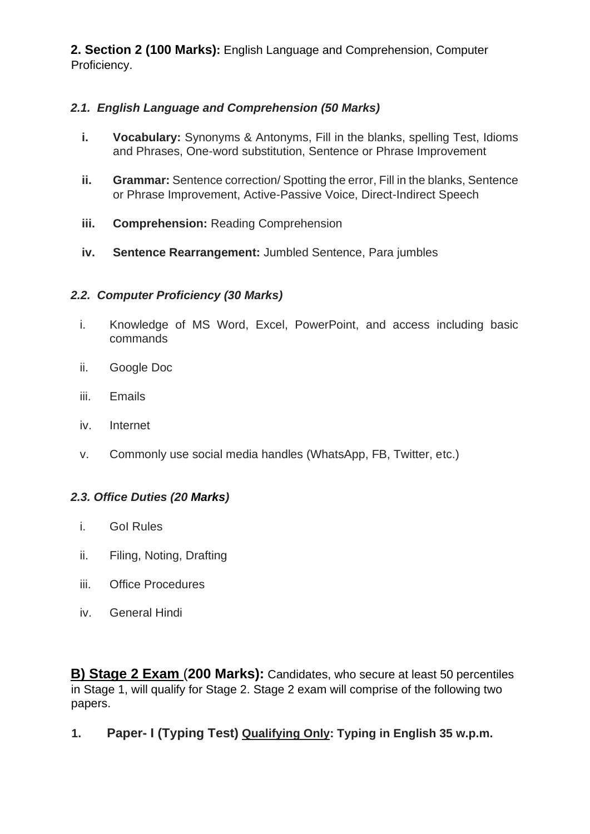**2. Section 2 (100 Marks):** English Language and Comprehension, Computer Proficiency.

# *2.1. English Language and Comprehension (50 Marks)*

- **i. Vocabulary:** Synonyms & Antonyms, Fill in the blanks, spelling Test, Idioms and Phrases, One-word substitution, Sentence or Phrase Improvement
- **ii. Grammar:** Sentence correction/ Spotting the error, Fill in the blanks, Sentence or Phrase Improvement, Active-Passive Voice, Direct-Indirect Speech
- **iii. Comprehension:** Reading Comprehension
- **iv. Sentence Rearrangement:** Jumbled Sentence, Para jumbles

### *2.2. Computer Proficiency (30 Marks)*

- i. Knowledge of MS Word, Excel, PowerPoint, and access including basic commands
- ii. Google Doc
- iii. Emails
- iv. Internet
- v. Commonly use social media handles (WhatsApp, FB, Twitter, etc.)

# *2.3. Office Duties (20 Marks)*

- i. GoI Rules
- ii. Filing, Noting, Drafting
- iii. Office Procedures
- iv. General Hindi

**B) Stage 2 Exam** (**200 Marks):** Candidates, who secure at least 50 percentiles in Stage 1, will qualify for Stage 2. Stage 2 exam will comprise of the following two papers.

**1. Paper- I (Typing Test) Qualifying Only: Typing in English 35 w.p.m.**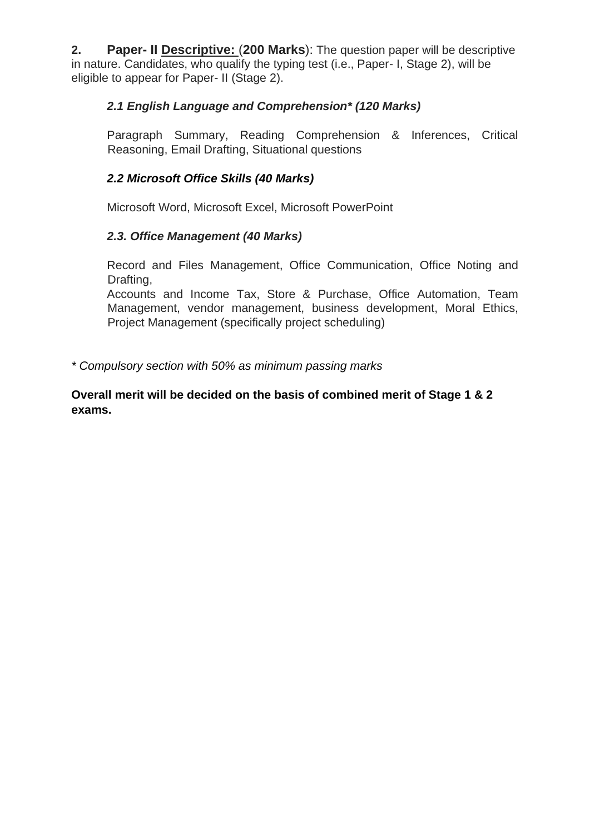**2. Paper- II Descriptive:** (**200 Marks**): The question paper will be descriptive in nature. Candidates, who qualify the typing test (i.e., Paper- I, Stage 2), will be eligible to appear for Paper- II (Stage 2).

### *2.1 English Language and Comprehension\* (120 Marks)*

Paragraph Summary, Reading Comprehension & Inferences, Critical Reasoning, Email Drafting, Situational questions

#### *2.2 Microsoft Office Skills (40 Marks)*

Microsoft Word, Microsoft Excel, Microsoft PowerPoint

### *2.3. Office Management (40 Marks)*

Record and Files Management, Office Communication, Office Noting and Drafting,

Accounts and Income Tax, Store & Purchase, Office Automation, Team Management, vendor management, business development, Moral Ethics, Project Management (specifically project scheduling)

*\* Compulsory section with 50% as minimum passing marks* 

**Overall merit will be decided on the basis of combined merit of Stage 1 & 2 exams.**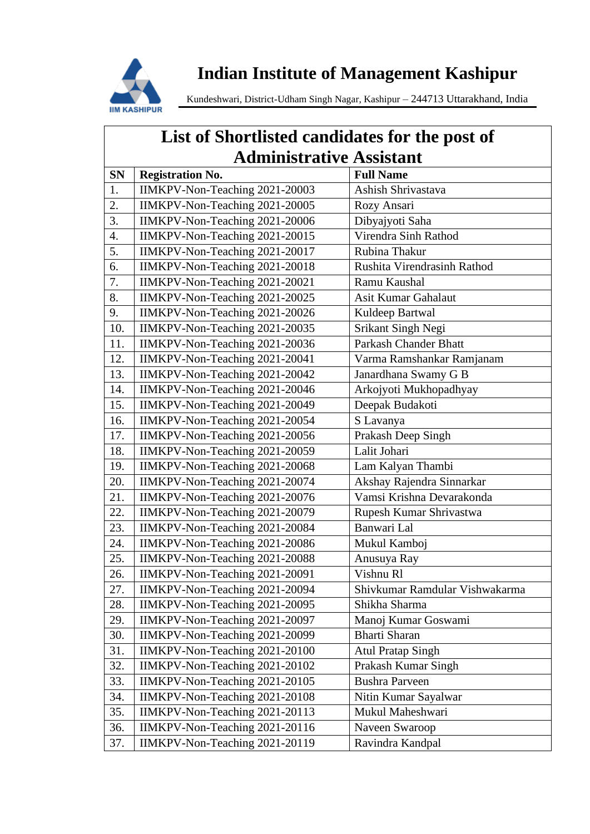

# **Indian Institute of Management Kashipur**

Kundeshwari, District-Udham Singh Nagar, Kashipur – 244713 Uttarakhand, India

| List of Shortlisted candidates for the post of<br><b>Administrative Assistant</b> |                                |                                |
|-----------------------------------------------------------------------------------|--------------------------------|--------------------------------|
|                                                                                   |                                |                                |
| <b>SN</b>                                                                         | <b>Registration No.</b>        | <b>Full Name</b>               |
| 1.                                                                                | IIMKPV-Non-Teaching 2021-20003 | Ashish Shrivastava             |
| 2.                                                                                | IIMKPV-Non-Teaching 2021-20005 | Rozy Ansari                    |
| 3.                                                                                | IIMKPV-Non-Teaching 2021-20006 | Dibyajyoti Saha                |
| 4.                                                                                | IIMKPV-Non-Teaching 2021-20015 | Virendra Sinh Rathod           |
| 5.                                                                                | IIMKPV-Non-Teaching 2021-20017 | Rubina Thakur                  |
| 6.                                                                                | IIMKPV-Non-Teaching 2021-20018 | Rushita Virendrasinh Rathod    |
| 7.                                                                                | IIMKPV-Non-Teaching 2021-20021 | Ramu Kaushal                   |
| 8.                                                                                | IIMKPV-Non-Teaching 2021-20025 | Asit Kumar Gahalaut            |
| 9.                                                                                | IIMKPV-Non-Teaching 2021-20026 | Kuldeep Bartwal                |
| 10.                                                                               | IIMKPV-Non-Teaching 2021-20035 | Srikant Singh Negi             |
| 11.                                                                               | IIMKPV-Non-Teaching 2021-20036 | <b>Parkash Chander Bhatt</b>   |
| 12.                                                                               | IIMKPV-Non-Teaching 2021-20041 | Varma Ramshankar Ramjanam      |
| 13.                                                                               | IIMKPV-Non-Teaching 2021-20042 | Janardhana Swamy G B           |
| 14.                                                                               | IIMKPV-Non-Teaching 2021-20046 | Arkojyoti Mukhopadhyay         |
| 15.                                                                               | IIMKPV-Non-Teaching 2021-20049 | Deepak Budakoti                |
| 16.                                                                               | IIMKPV-Non-Teaching 2021-20054 | S Lavanya                      |
| 17.                                                                               | IIMKPV-Non-Teaching 2021-20056 | Prakash Deep Singh             |
| 18.                                                                               | IIMKPV-Non-Teaching 2021-20059 | Lalit Johari                   |
| 19.                                                                               | IIMKPV-Non-Teaching 2021-20068 | Lam Kalyan Thambi              |
| 20.                                                                               | IIMKPV-Non-Teaching 2021-20074 | Akshay Rajendra Sinnarkar      |
| 21.                                                                               | IIMKPV-Non-Teaching 2021-20076 | Vamsi Krishna Devarakonda      |
| 22.                                                                               | IIMKPV-Non-Teaching 2021-20079 | Rupesh Kumar Shrivastwa        |
| 23.                                                                               | IIMKPV-Non-Teaching 2021-20084 | Banwari Lal                    |
| 24.                                                                               | IIMKPV-Non-Teaching 2021-20086 | Mukul Kamboj                   |
| 25.                                                                               | IIMKPV-Non-Teaching 2021-20088 | Anusuya Ray                    |
| 26.                                                                               | IIMKPV-Non-Teaching 2021-20091 | Vishnu Rl                      |
| 27.                                                                               | IIMKPV-Non-Teaching 2021-20094 | Shivkumar Ramdular Vishwakarma |
| 28.                                                                               | IIMKPV-Non-Teaching 2021-20095 | Shikha Sharma                  |
| 29.                                                                               | IIMKPV-Non-Teaching 2021-20097 | Manoj Kumar Goswami            |
| 30.                                                                               | IIMKPV-Non-Teaching 2021-20099 | <b>Bharti Sharan</b>           |
| 31.                                                                               | IIMKPV-Non-Teaching 2021-20100 | <b>Atul Pratap Singh</b>       |
| 32.                                                                               | IIMKPV-Non-Teaching 2021-20102 | Prakash Kumar Singh            |
| 33.                                                                               | IIMKPV-Non-Teaching 2021-20105 | <b>Bushra Parveen</b>          |
| 34.                                                                               | IIMKPV-Non-Teaching 2021-20108 | Nitin Kumar Sayalwar           |
| 35.                                                                               | IIMKPV-Non-Teaching 2021-20113 | Mukul Maheshwari               |
| 36.                                                                               | IIMKPV-Non-Teaching 2021-20116 | Naveen Swaroop                 |
| 37.                                                                               | IIMKPV-Non-Teaching 2021-20119 | Ravindra Kandpal               |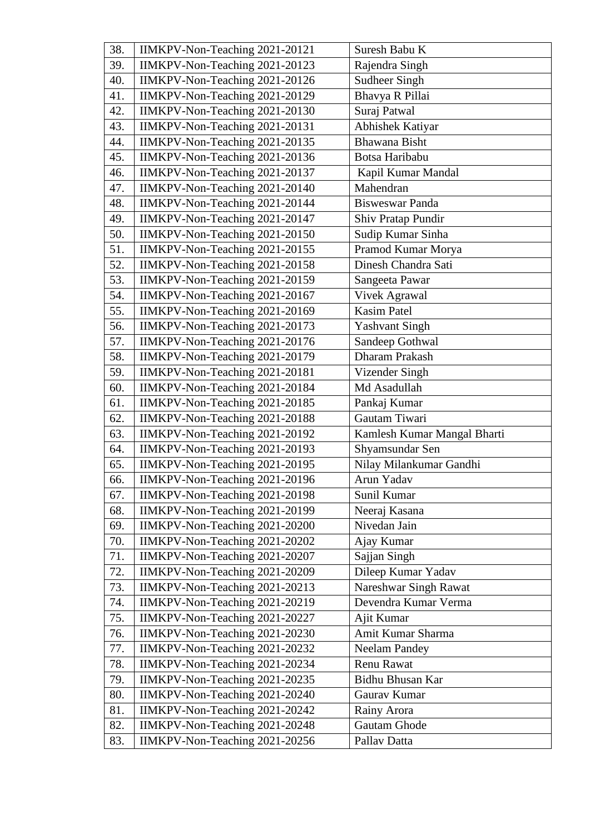| 38. | IIMKPV-Non-Teaching 2021-20121 | Suresh Babu K               |
|-----|--------------------------------|-----------------------------|
| 39. | IIMKPV-Non-Teaching 2021-20123 | Rajendra Singh              |
| 40. | IIMKPV-Non-Teaching 2021-20126 | <b>Sudheer Singh</b>        |
| 41. | IIMKPV-Non-Teaching 2021-20129 | Bhavya R Pillai             |
| 42. | IIMKPV-Non-Teaching 2021-20130 | Suraj Patwal                |
| 43. | IIMKPV-Non-Teaching 2021-20131 | Abhishek Katiyar            |
| 44. | IIMKPV-Non-Teaching 2021-20135 | Bhawana Bisht               |
| 45. | IIMKPV-Non-Teaching 2021-20136 | Botsa Haribabu              |
| 46. | IIMKPV-Non-Teaching 2021-20137 | Kapil Kumar Mandal          |
| 47. | IIMKPV-Non-Teaching 2021-20140 | Mahendran                   |
| 48. | IIMKPV-Non-Teaching 2021-20144 | <b>Bisweswar Panda</b>      |
| 49. | IIMKPV-Non-Teaching 2021-20147 | Shiv Pratap Pundir          |
| 50. | IIMKPV-Non-Teaching 2021-20150 | Sudip Kumar Sinha           |
| 51. | IIMKPV-Non-Teaching 2021-20155 | Pramod Kumar Morya          |
| 52. | IIMKPV-Non-Teaching 2021-20158 | Dinesh Chandra Sati         |
| 53. | IIMKPV-Non-Teaching 2021-20159 | Sangeeta Pawar              |
| 54. | IIMKPV-Non-Teaching 2021-20167 | Vivek Agrawal               |
| 55. | IIMKPV-Non-Teaching 2021-20169 | <b>Kasim Patel</b>          |
| 56. | IIMKPV-Non-Teaching 2021-20173 | <b>Yashvant Singh</b>       |
| 57. | IIMKPV-Non-Teaching 2021-20176 | Sandeep Gothwal             |
| 58. | IIMKPV-Non-Teaching 2021-20179 | Dharam Prakash              |
| 59. | IIMKPV-Non-Teaching 2021-20181 | Vizender Singh              |
| 60. | IIMKPV-Non-Teaching 2021-20184 | Md Asadullah                |
| 61. | IIMKPV-Non-Teaching 2021-20185 | Pankaj Kumar                |
| 62. | IIMKPV-Non-Teaching 2021-20188 | Gautam Tiwari               |
| 63. | IIMKPV-Non-Teaching 2021-20192 | Kamlesh Kumar Mangal Bharti |
| 64. | IIMKPV-Non-Teaching 2021-20193 | Shyamsundar Sen             |
| 65. | IIMKPV-Non-Teaching 2021-20195 | Nilay Milankumar Gandhi     |
| 66. | IIMKPV-Non-Teaching 2021-20196 | Arun Yadav                  |
| 67. | IIMKPV-Non-Teaching 2021-20198 | Sunil Kumar                 |
| 68. | IIMKPV-Non-Teaching 2021-20199 | Neeraj Kasana               |
| 69. | IIMKPV-Non-Teaching 2021-20200 | Nivedan Jain                |
| 70. | IIMKPV-Non-Teaching 2021-20202 | Ajay Kumar                  |
| 71. | IIMKPV-Non-Teaching 2021-20207 | Sajjan Singh                |
| 72. | IIMKPV-Non-Teaching 2021-20209 | Dileep Kumar Yadav          |
| 73. | IIMKPV-Non-Teaching 2021-20213 | Nareshwar Singh Rawat       |
| 74. | IIMKPV-Non-Teaching 2021-20219 | Devendra Kumar Verma        |
| 75. | IIMKPV-Non-Teaching 2021-20227 | Ajit Kumar                  |
| 76. | IIMKPV-Non-Teaching 2021-20230 | Amit Kumar Sharma           |
| 77. | IIMKPV-Non-Teaching 2021-20232 | <b>Neelam Pandey</b>        |
| 78. | IIMKPV-Non-Teaching 2021-20234 | Renu Rawat                  |
| 79. | IIMKPV-Non-Teaching 2021-20235 | Bidhu Bhusan Kar            |
| 80. | IIMKPV-Non-Teaching 2021-20240 | Gaurav Kumar                |
| 81. | IIMKPV-Non-Teaching 2021-20242 | Rainy Arora                 |
| 82. | IIMKPV-Non-Teaching 2021-20248 | Gautam Ghode                |
| 83. | IIMKPV-Non-Teaching 2021-20256 | Pallav Datta                |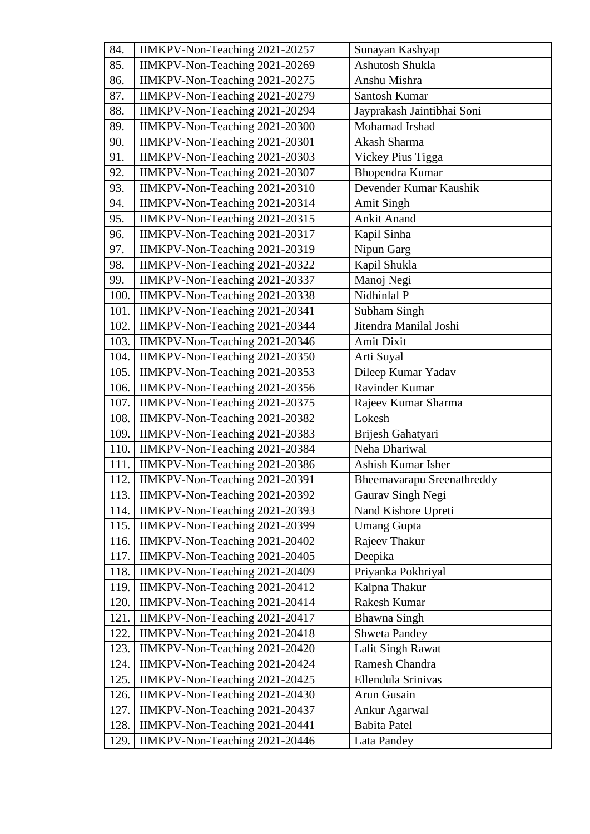| 84.  | IIMKPV-Non-Teaching 2021-20257 | Sunayan Kashyap            |
|------|--------------------------------|----------------------------|
| 85.  | IIMKPV-Non-Teaching 2021-20269 | Ashutosh Shukla            |
| 86.  | IIMKPV-Non-Teaching 2021-20275 | Anshu Mishra               |
| 87.  | IIMKPV-Non-Teaching 2021-20279 | Santosh Kumar              |
| 88.  | IIMKPV-Non-Teaching 2021-20294 | Jayprakash Jaintibhai Soni |
| 89.  | IIMKPV-Non-Teaching 2021-20300 | Mohamad Irshad             |
| 90.  | IIMKPV-Non-Teaching 2021-20301 | Akash Sharma               |
| 91.  | IIMKPV-Non-Teaching 2021-20303 | Vickey Pius Tigga          |
| 92.  | IIMKPV-Non-Teaching 2021-20307 | <b>Bhopendra Kumar</b>     |
| 93.  | IIMKPV-Non-Teaching 2021-20310 | Devender Kumar Kaushik     |
| 94.  | IIMKPV-Non-Teaching 2021-20314 | <b>Amit Singh</b>          |
| 95.  | IIMKPV-Non-Teaching 2021-20315 | <b>Ankit Anand</b>         |
| 96.  | IIMKPV-Non-Teaching 2021-20317 | Kapil Sinha                |
| 97.  | IIMKPV-Non-Teaching 2021-20319 | Nipun Garg                 |
| 98.  | IIMKPV-Non-Teaching 2021-20322 | Kapil Shukla               |
| 99.  | IIMKPV-Non-Teaching 2021-20337 | Manoj Negi                 |
| 100. | IIMKPV-Non-Teaching 2021-20338 | Nidhinlal P                |
| 101. | IIMKPV-Non-Teaching 2021-20341 | Subham Singh               |
| 102. | IIMKPV-Non-Teaching 2021-20344 | Jitendra Manilal Joshi     |
| 103. | IIMKPV-Non-Teaching 2021-20346 | Amit Dixit                 |
| 104. | IIMKPV-Non-Teaching 2021-20350 | Arti Suyal                 |
| 105. | IIMKPV-Non-Teaching 2021-20353 | Dileep Kumar Yadav         |
| 106. | IIMKPV-Non-Teaching 2021-20356 | Ravinder Kumar             |
| 107. | IIMKPV-Non-Teaching 2021-20375 | Rajeev Kumar Sharma        |
| 108. | IIMKPV-Non-Teaching 2021-20382 | Lokesh                     |
| 109. | IIMKPV-Non-Teaching 2021-20383 | Brijesh Gahatyari          |
| 110. | IIMKPV-Non-Teaching 2021-20384 | Neha Dhariwal              |
| 111. | IIMKPV-Non-Teaching 2021-20386 | Ashish Kumar Isher         |
| 112. | IIMKPV-Non-Teaching 2021-20391 | Bheemavarapu Sreenathreddy |
| 113. | IIMKPV-Non-Teaching 2021-20392 | Gaurav Singh Negi          |
| 114. | IIMKPV-Non-Teaching 2021-20393 | Nand Kishore Upreti        |
| 115. | IIMKPV-Non-Teaching 2021-20399 | <b>Umang Gupta</b>         |
| 116. | IIMKPV-Non-Teaching 2021-20402 | Rajeev Thakur              |
| 117. | IIMKPV-Non-Teaching 2021-20405 | Deepika                    |
| 118. | IIMKPV-Non-Teaching 2021-20409 | Priyanka Pokhriyal         |
| 119. | IIMKPV-Non-Teaching 2021-20412 | Kalpna Thakur              |
| 120. | IIMKPV-Non-Teaching 2021-20414 | Rakesh Kumar               |
| 121. | IIMKPV-Non-Teaching 2021-20417 | Bhawna Singh               |
| 122. | IIMKPV-Non-Teaching 2021-20418 | <b>Shweta Pandey</b>       |
| 123. | IIMKPV-Non-Teaching 2021-20420 | Lalit Singh Rawat          |
| 124. | IIMKPV-Non-Teaching 2021-20424 | Ramesh Chandra             |
| 125. | IIMKPV-Non-Teaching 2021-20425 | Ellendula Srinivas         |
| 126. | IIMKPV-Non-Teaching 2021-20430 | Arun Gusain                |
| 127. | IIMKPV-Non-Teaching 2021-20437 | Ankur Agarwal              |
| 128. | IIMKPV-Non-Teaching 2021-20441 | <b>Babita Patel</b>        |
| 129. | IIMKPV-Non-Teaching 2021-20446 | Lata Pandey                |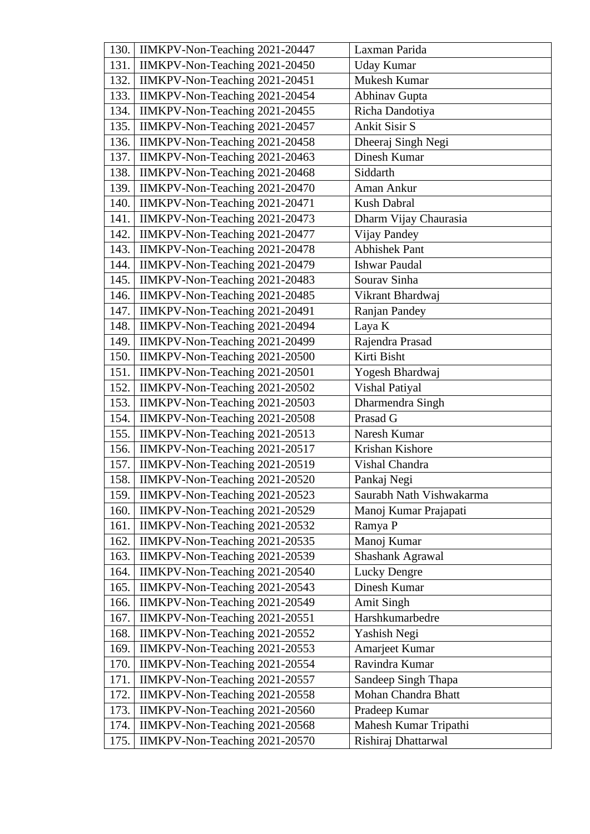| 130. | IIMKPV-Non-Teaching 2021-20447 | Laxman Parida            |
|------|--------------------------------|--------------------------|
| 131. | IIMKPV-Non-Teaching 2021-20450 | <b>Uday Kumar</b>        |
| 132. | IIMKPV-Non-Teaching 2021-20451 | Mukesh Kumar             |
| 133. | IIMKPV-Non-Teaching 2021-20454 | Abhinav Gupta            |
| 134. | IIMKPV-Non-Teaching 2021-20455 | Richa Dandotiya          |
| 135. | IIMKPV-Non-Teaching 2021-20457 | <b>Ankit Sisir S</b>     |
| 136. | IIMKPV-Non-Teaching 2021-20458 | Dheeraj Singh Negi       |
| 137. | IIMKPV-Non-Teaching 2021-20463 | Dinesh Kumar             |
| 138. | IIMKPV-Non-Teaching 2021-20468 | Siddarth                 |
| 139. | IIMKPV-Non-Teaching 2021-20470 | Aman Ankur               |
| 140. | IIMKPV-Non-Teaching 2021-20471 | <b>Kush Dabral</b>       |
| 141. | IIMKPV-Non-Teaching 2021-20473 | Dharm Vijay Chaurasia    |
| 142. | IIMKPV-Non-Teaching 2021-20477 | Vijay Pandey             |
| 143. | IIMKPV-Non-Teaching 2021-20478 | <b>Abhishek Pant</b>     |
| 144. | IIMKPV-Non-Teaching 2021-20479 | <b>Ishwar Paudal</b>     |
| 145. | IIMKPV-Non-Teaching 2021-20483 | Sourav Sinha             |
| 146. | IIMKPV-Non-Teaching 2021-20485 | Vikrant Bhardwaj         |
| 147. | IIMKPV-Non-Teaching 2021-20491 | Ranjan Pandey            |
| 148. | IIMKPV-Non-Teaching 2021-20494 | Laya K                   |
| 149. | IIMKPV-Non-Teaching 2021-20499 | Rajendra Prasad          |
| 150. | IIMKPV-Non-Teaching 2021-20500 | Kirti Bisht              |
| 151. | IIMKPV-Non-Teaching 2021-20501 | Yogesh Bhardwaj          |
| 152. | IIMKPV-Non-Teaching 2021-20502 | Vishal Patiyal           |
| 153. | IIMKPV-Non-Teaching 2021-20503 | Dharmendra Singh         |
| 154. | IIMKPV-Non-Teaching 2021-20508 | Prasad G                 |
| 155. | IIMKPV-Non-Teaching 2021-20513 | Naresh Kumar             |
| 156. | IIMKPV-Non-Teaching 2021-20517 | Krishan Kishore          |
| 157. | IIMKPV-Non-Teaching 2021-20519 | Vishal Chandra           |
| 158. | IIMKPV-Non-Teaching 2021-20520 | Pankaj Negi              |
| 159. | IIMKPV-Non-Teaching 2021-20523 | Saurabh Nath Vishwakarma |
| 160. | IIMKPV-Non-Teaching 2021-20529 | Manoj Kumar Prajapati    |
| 161. | IIMKPV-Non-Teaching 2021-20532 | Ramya P                  |
| 162. | IIMKPV-Non-Teaching 2021-20535 | Manoj Kumar              |
| 163. | IIMKPV-Non-Teaching 2021-20539 | Shashank Agrawal         |
| 164. | IIMKPV-Non-Teaching 2021-20540 | <b>Lucky Dengre</b>      |
| 165. | IIMKPV-Non-Teaching 2021-20543 | Dinesh Kumar             |
| 166. | IIMKPV-Non-Teaching 2021-20549 | <b>Amit Singh</b>        |
| 167. | IIMKPV-Non-Teaching 2021-20551 | Harshkumarbedre          |
| 168. | IIMKPV-Non-Teaching 2021-20552 | Yashish Negi             |
| 169. | IIMKPV-Non-Teaching 2021-20553 | Amarjeet Kumar           |
| 170. | IIMKPV-Non-Teaching 2021-20554 | Ravindra Kumar           |
| 171. | IIMKPV-Non-Teaching 2021-20557 | Sandeep Singh Thapa      |
| 172. | IIMKPV-Non-Teaching 2021-20558 | Mohan Chandra Bhatt      |
| 173. | IIMKPV-Non-Teaching 2021-20560 | Pradeep Kumar            |
| 174. | IIMKPV-Non-Teaching 2021-20568 | Mahesh Kumar Tripathi    |
| 175. | IIMKPV-Non-Teaching 2021-20570 | Rishiraj Dhattarwal      |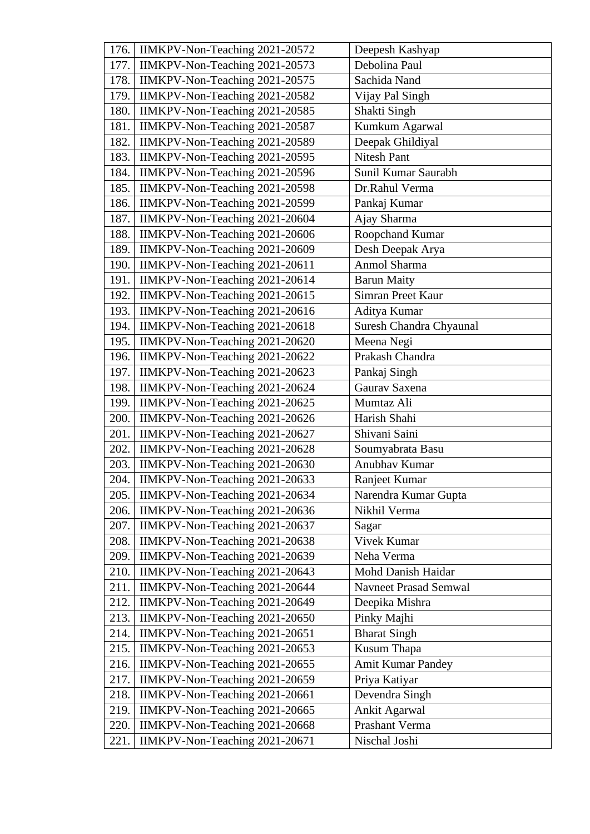| 176. | IIMKPV-Non-Teaching 2021-20572 | Deepesh Kashyap              |
|------|--------------------------------|------------------------------|
| 177. | IIMKPV-Non-Teaching 2021-20573 | Debolina Paul                |
| 178. | IIMKPV-Non-Teaching 2021-20575 | Sachida Nand                 |
| 179. | IIMKPV-Non-Teaching 2021-20582 | Vijay Pal Singh              |
| 180. | IIMKPV-Non-Teaching 2021-20585 | Shakti Singh                 |
| 181. | IIMKPV-Non-Teaching 2021-20587 | Kumkum Agarwal               |
| 182. | IIMKPV-Non-Teaching 2021-20589 | Deepak Ghildiyal             |
| 183. | IIMKPV-Non-Teaching 2021-20595 | <b>Nitesh Pant</b>           |
| 184. | IIMKPV-Non-Teaching 2021-20596 | Sunil Kumar Saurabh          |
| 185. | IIMKPV-Non-Teaching 2021-20598 | Dr.Rahul Verma               |
| 186. | IIMKPV-Non-Teaching 2021-20599 | Pankaj Kumar                 |
| 187. | IIMKPV-Non-Teaching 2021-20604 | Ajay Sharma                  |
| 188. | IIMKPV-Non-Teaching 2021-20606 | Roopchand Kumar              |
| 189. | IIMKPV-Non-Teaching 2021-20609 | Desh Deepak Arya             |
| 190. | IIMKPV-Non-Teaching 2021-20611 | Anmol Sharma                 |
| 191. | IIMKPV-Non-Teaching 2021-20614 | <b>Barun Maity</b>           |
| 192. | IIMKPV-Non-Teaching 2021-20615 | Simran Preet Kaur            |
| 193. | IIMKPV-Non-Teaching 2021-20616 | Aditya Kumar                 |
| 194. | IIMKPV-Non-Teaching 2021-20618 | Suresh Chandra Chyaunal      |
| 195. | IIMKPV-Non-Teaching 2021-20620 | Meena Negi                   |
| 196. | IIMKPV-Non-Teaching 2021-20622 | Prakash Chandra              |
| 197. | IIMKPV-Non-Teaching 2021-20623 | Pankaj Singh                 |
| 198. | IIMKPV-Non-Teaching 2021-20624 | Gaurav Saxena                |
| 199. | IIMKPV-Non-Teaching 2021-20625 | Mumtaz Ali                   |
| 200. | IIMKPV-Non-Teaching 2021-20626 | Harish Shahi                 |
| 201. | IIMKPV-Non-Teaching 2021-20627 | Shivani Saini                |
| 202. | IIMKPV-Non-Teaching 2021-20628 | Soumyabrata Basu             |
| 203. | IIMKPV-Non-Teaching 2021-20630 | Anubhav Kumar                |
| 204. | IIMKPV-Non-Teaching 2021-20633 | Ranjeet Kumar                |
| 205. | IIMKPV-Non-Teaching 2021-20634 | Narendra Kumar Gupta         |
| 206. | IIMKPV-Non-Teaching 2021-20636 | Nikhil Verma                 |
| 207. | IIMKPV-Non-Teaching 2021-20637 | Sagar                        |
| 208. | IIMKPV-Non-Teaching 2021-20638 | Vivek Kumar                  |
| 209. | IIMKPV-Non-Teaching 2021-20639 | Neha Verma                   |
| 210. | IIMKPV-Non-Teaching 2021-20643 | Mohd Danish Haidar           |
| 211. | IIMKPV-Non-Teaching 2021-20644 | <b>Navneet Prasad Semwal</b> |
| 212. | IIMKPV-Non-Teaching 2021-20649 | Deepika Mishra               |
| 213. | IIMKPV-Non-Teaching 2021-20650 | Pinky Majhi                  |
| 214. | IIMKPV-Non-Teaching 2021-20651 | <b>Bharat Singh</b>          |
| 215. | IIMKPV-Non-Teaching 2021-20653 | Kusum Thapa                  |
| 216. | IIMKPV-Non-Teaching 2021-20655 | Amit Kumar Pandey            |
| 217. | IIMKPV-Non-Teaching 2021-20659 | Priya Katiyar                |
| 218. | IIMKPV-Non-Teaching 2021-20661 | Devendra Singh               |
| 219. | IIMKPV-Non-Teaching 2021-20665 | Ankit Agarwal                |
| 220. | IIMKPV-Non-Teaching 2021-20668 | Prashant Verma               |
| 221. | IIMKPV-Non-Teaching 2021-20671 | Nischal Joshi                |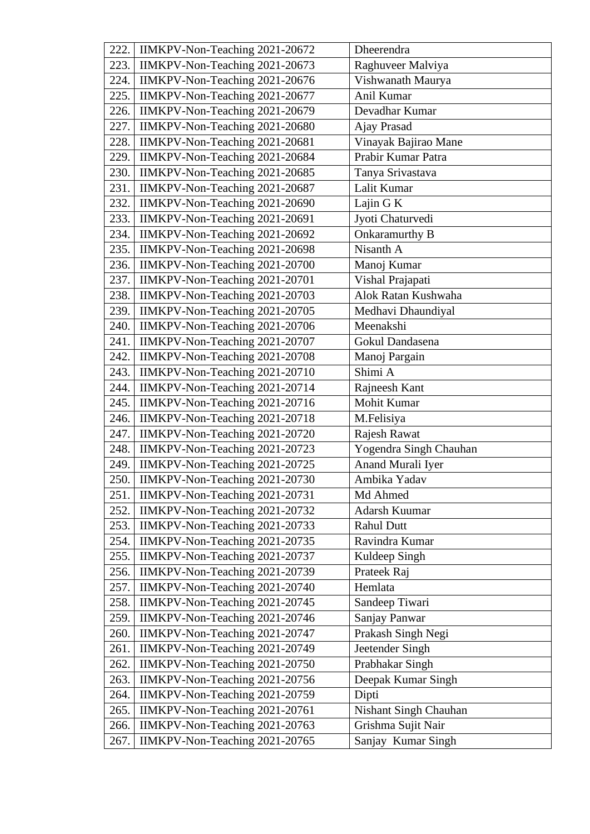| 222. | IIMKPV-Non-Teaching 2021-20672        | Dheerendra             |
|------|---------------------------------------|------------------------|
| 223. | IIMKPV-Non-Teaching 2021-20673        | Raghuveer Malviya      |
| 224. | IIMKPV-Non-Teaching 2021-20676        | Vishwanath Maurya      |
| 225. | IIMKPV-Non-Teaching 2021-20677        | Anil Kumar             |
| 226. | IIMKPV-Non-Teaching 2021-20679        | Devadhar Kumar         |
| 227. | IIMKPV-Non-Teaching 2021-20680        | Ajay Prasad            |
| 228. | IIMKPV-Non-Teaching 2021-20681        | Vinayak Bajirao Mane   |
| 229. | IIMKPV-Non-Teaching 2021-20684        | Prabir Kumar Patra     |
| 230. | IIMKPV-Non-Teaching 2021-20685        | Tanya Srivastava       |
| 231. | IIMKPV-Non-Teaching 2021-20687        | Lalit Kumar            |
| 232. | IIMKPV-Non-Teaching 2021-20690        | Lajin G K              |
| 233. | IIMKPV-Non-Teaching 2021-20691        | Jyoti Chaturvedi       |
| 234. | IIMKPV-Non-Teaching 2021-20692        | Onkaramurthy B         |
| 235. | IIMKPV-Non-Teaching 2021-20698        | Nisanth A              |
| 236. | IIMKPV-Non-Teaching 2021-20700        | Manoj Kumar            |
| 237. | IIMKPV-Non-Teaching 2021-20701        | Vishal Prajapati       |
| 238. | <b>IIMKPV-Non-Teaching 2021-20703</b> | Alok Ratan Kushwaha    |
| 239. | IIMKPV-Non-Teaching 2021-20705        | Medhavi Dhaundiyal     |
| 240. | IIMKPV-Non-Teaching 2021-20706        | Meenakshi              |
| 241. | IIMKPV-Non-Teaching 2021-20707        | Gokul Dandasena        |
| 242. | IIMKPV-Non-Teaching 2021-20708        | Manoj Pargain          |
| 243. | IIMKPV-Non-Teaching 2021-20710        | Shimi A                |
| 244. | IIMKPV-Non-Teaching 2021-20714        | Rajneesh Kant          |
| 245. | IIMKPV-Non-Teaching 2021-20716        | Mohit Kumar            |
| 246. | IIMKPV-Non-Teaching 2021-20718        | M.Felisiya             |
| 247. | IIMKPV-Non-Teaching 2021-20720        | Rajesh Rawat           |
| 248. | IIMKPV-Non-Teaching 2021-20723        | Yogendra Singh Chauhan |
| 249. | IIMKPV-Non-Teaching 2021-20725        | Anand Murali Iyer      |
| 250. | IIMKPV-Non-Teaching 2021-20730        | Ambika Yadav           |
| 251. | IIMKPV-Non-Teaching 2021-20731        | Md Ahmed               |
| 252. | IIMKPV-Non-Teaching 2021-20732        | Adarsh Kuumar          |
| 253. | IIMKPV-Non-Teaching 2021-20733        | <b>Rahul Dutt</b>      |
| 254. | IIMKPV-Non-Teaching 2021-20735        | Ravindra Kumar         |
| 255. | IIMKPV-Non-Teaching 2021-20737        | Kuldeep Singh          |
| 256. | IIMKPV-Non-Teaching 2021-20739        | Prateek Raj            |
| 257. | IIMKPV-Non-Teaching 2021-20740        | Hemlata                |
| 258. | IIMKPV-Non-Teaching 2021-20745        | Sandeep Tiwari         |
| 259. | IIMKPV-Non-Teaching 2021-20746        | Sanjay Panwar          |
| 260. | IIMKPV-Non-Teaching 2021-20747        | Prakash Singh Negi     |
| 261. | IIMKPV-Non-Teaching 2021-20749        | Jeetender Singh        |
| 262. | IIMKPV-Non-Teaching 2021-20750        | Prabhakar Singh        |
| 263. | IIMKPV-Non-Teaching 2021-20756        | Deepak Kumar Singh     |
| 264. | IIMKPV-Non-Teaching 2021-20759        | Dipti                  |
| 265. | IIMKPV-Non-Teaching 2021-20761        | Nishant Singh Chauhan  |
| 266. | IIMKPV-Non-Teaching 2021-20763        | Grishma Sujit Nair     |
| 267. | IIMKPV-Non-Teaching 2021-20765        | Sanjay Kumar Singh     |